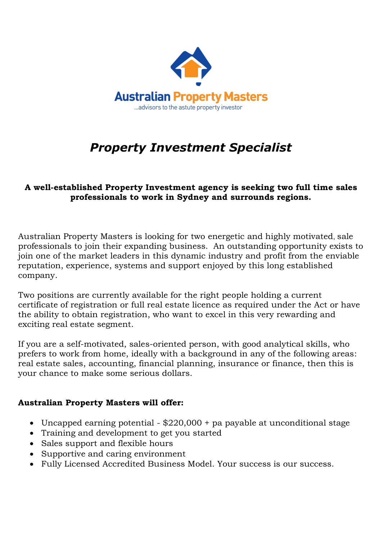

## *Property Investment Specialist*

## **A well-established Property Investment agency is seeking two full time sales professionals to work in Sydney and surrounds regions.**

Australian Property Masters is looking for two energetic and highly motivated, sale professionals to join their expanding business. An outstanding opportunity exists to join one of the market leaders in this dynamic industry and profit from the enviable reputation, experience, systems and support enjoyed by this long established company.

Two positions are currently available for the right people holding a current certificate of registration or full real estate licence as required under the Act or have the ability to obtain registration, who want to excel in this very rewarding and exciting real estate segment.

If you are a self-motivated, sales-oriented person, with good analytical skills, who prefers to work from home, ideally with a background in any of the following areas: real estate sales, accounting, financial planning, insurance or finance, then this is your chance to make some serious dollars.

## **Australian Property Masters will offer:**

- Uncapped earning potential \$220,000 + pa payable at unconditional stage
- Training and development to get you started
- Sales support and flexible hours
- Supportive and caring environment
- Fully Licensed Accredited Business Model. Your success is our success.